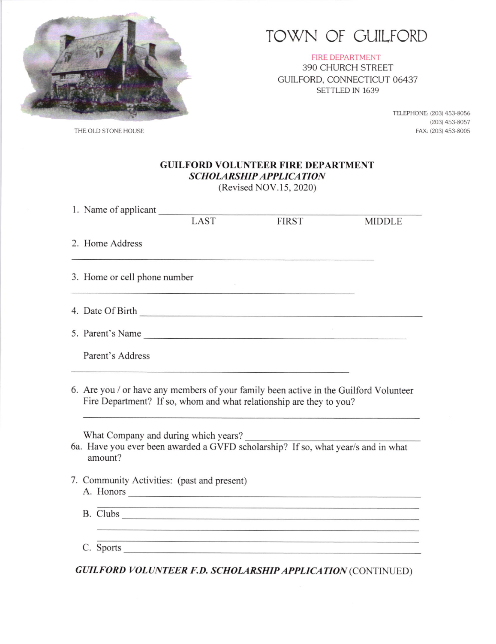

## TOWN OF GUILFORD

FIRE DEPARTMENT 390 CHURCH STREET GUILFORD, CONNECTICUT 06437 SETTLED IN 1639

> TELEPHONE: (203) 453-8056 (203) 453-8057<br>FAX: (203) 453-8005

THE OLD STONE HOUSE

| <b>GUILFORD VOLUNTEER FIRE DEPARTMENT</b> |
|-------------------------------------------|
| <b>SCHOLARSHIP APPLICATION</b>            |
|                                           |

(Revised NOV.15, 2020)

| 1. Name of applicant                                                                         |                                                                                                                                                                                      |              |               |
|----------------------------------------------------------------------------------------------|--------------------------------------------------------------------------------------------------------------------------------------------------------------------------------------|--------------|---------------|
|                                                                                              | LAST                                                                                                                                                                                 | <b>FIRST</b> | <b>MIDDLE</b> |
| 2. Home Address                                                                              |                                                                                                                                                                                      |              |               |
| 3. Home or cell phone number                                                                 |                                                                                                                                                                                      |              |               |
| 4. Date Of Birth                                                                             |                                                                                                                                                                                      |              |               |
| 5. Parent's Name                                                                             |                                                                                                                                                                                      |              |               |
| Parent's Address                                                                             |                                                                                                                                                                                      |              |               |
| 6. Are you / or have any members of your family been active in the Guilford Volunteer        | Fire Department? If so, whom and what relationship are they to you?                                                                                                                  |              |               |
| 6a. Have you ever been awarded a GVFD scholarship? If so, what year/s and in what<br>amount? | What Company and during which years?                                                                                                                                                 |              |               |
| 7. Community Activities: (past and present)                                                  | A. Honors                                                                                                                                                                            |              |               |
|                                                                                              | <u>. 그 사람들은 아이들은 아이들은 아이들을 사용하고 있다. 이 사람들은 아이들은 아이들은 아이들의 사람들은 아이들을 사용하고 있다. 이 사람들은 아이들의 사람들은 아이들이 아이들이 아이들이 있다.</u><br><u> 1989 - Andrea Santana, Amerikaansk politik (d. 1989)</u> |              |               |
|                                                                                              | C. Sports                                                                                                                                                                            |              |               |

GUILFORD VOLUNTEER F.D. SCHOLARSHIP APPLICATION (CONTINUED)